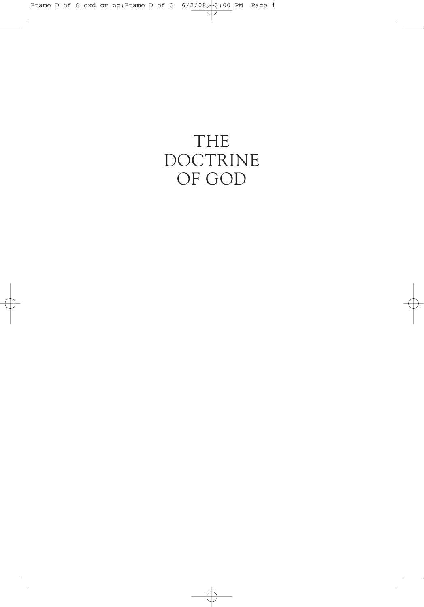# THE DOCTRINE OF GOD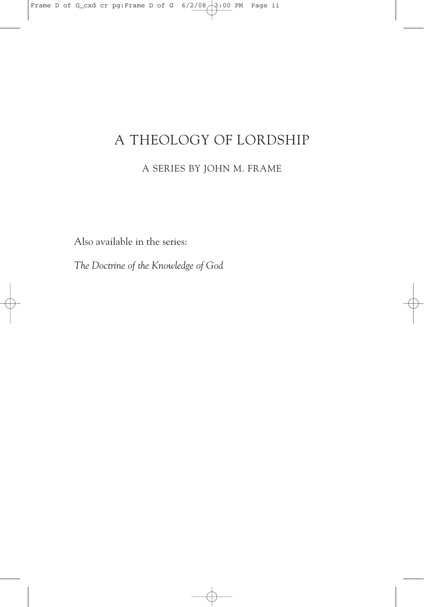## A THEOLOGY OF LORDSHIP

### A SERIES BY JOHN M. FRAME

Also available in the series:

*The Doctrine of the Knowledge of God*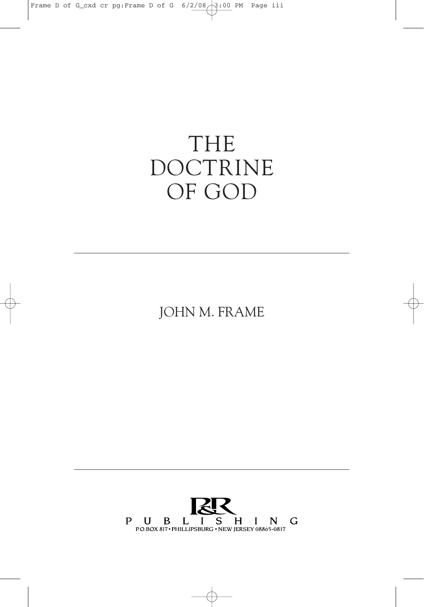Frame D of G\_cxd cr pg:Frame D of G  $6/2/08$  3:00 PM Page iii

# THE DOCTRINE OF GOD

JOHN M. FRAME

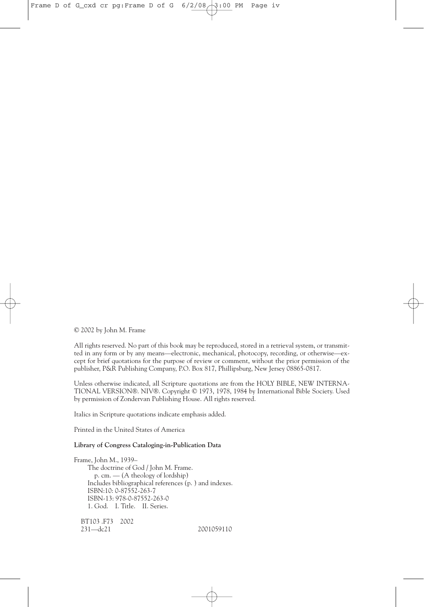Frame D of G\_cxd cr pg: Frame D of G  $6/2/08$  3:00 PM Page iv

© 2002 by John M. Frame

All rights reserved. No part of this book may be reproduced, stored in a retrieval system, or transmitted in any form or by any means—electronic, mechanical, photocopy, recording, or otherwise—except for brief quotations for the purpose of review or comment, without the prior permission of the publisher, P&R Publishing Company, P.O. Box 817, Phillipsburg, New Jersey 08865-0817.

Unless otherwise indicated, all Scripture quotations are from the HOLY BIBLE, NEW INTERNA-TIONAL VERSION®. NIV®. Copyright © 1973, 1978, 1984 by International Bible Society. Used by permission of Zondervan Publishing House. All rights reserved.

Italics in Scripture quotations indicate emphasis added.

Printed in the United States of America

#### **Library of Congress Cataloging-in-Publication Data**

Frame, John M., 1939– The doctrine of God / John M. Frame. p. cm. — (A theology of lordship) Includes bibliographical references (p. ) and indexes. ISBN:10: 0-87552-263-7 ISBN-13: 978-0-87552-263-0 1. God. I. Title. II. Series.

BT103 .F73 2002 231—dc21 2001059110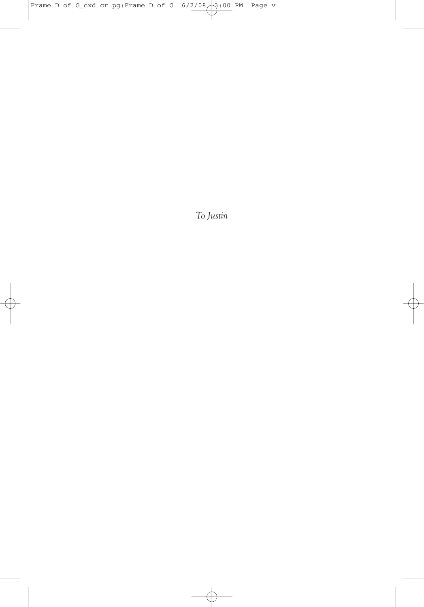Frame D of G\_cxd cr pg:Frame D of G  $6/2/08$  3:00 PM Page v

*To Justin*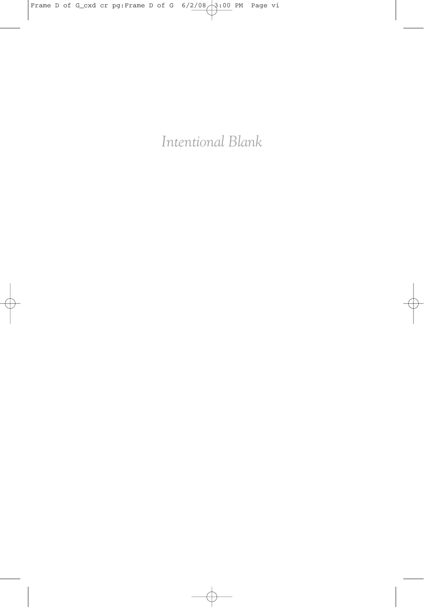*Intentional Blank*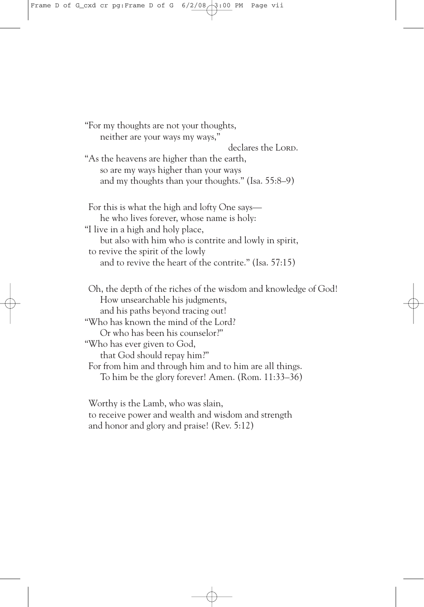"For my thoughts are not your thoughts, neither are your ways my ways," declares the LORD. "As the heavens are higher than the earth, so are my ways higher than your ways and my thoughts than your thoughts." (Isa. 55:8–9) For this is what the high and lofty One says he who lives forever, whose name is holy: "I live in a high and holy place, but also with him who is contrite and lowly in spirit, to revive the spirit of the lowly and to revive the heart of the contrite." (Isa. 57:15) Oh, the depth of the riches of the wisdom and knowledge of God! How unsearchable his judgments, and his paths beyond tracing out! "Who has known the mind of the Lord? Or who has been his counselor?" "Who has ever given to God, that God should repay him?" For from him and through him and to him are all things. To him be the glory forever! Amen. (Rom. 11:33–36)

Worthy is the Lamb, who was slain, to receive power and wealth and wisdom and strength and honor and glory and praise! (Rev. 5:12)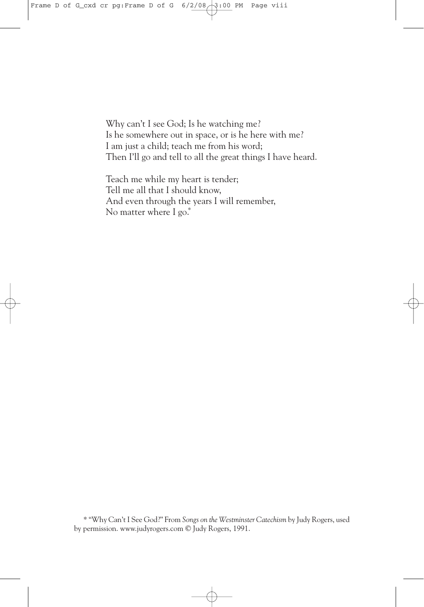Why can't I see God; Is he watching me? Is he somewhere out in space, or is he here with me? I am just a child; teach me from his word; Then I'll go and tell to all the great things I have heard.

Teach me while my heart is tender; Tell me all that I should know, And even through the years I will remember, No matter where I go.\*

\* "Why Can't I See God?" From *Songs on the Westminster Catechism* by Judy Rogers, used by permission. www.judyrogers.com © Judy Rogers, 1991.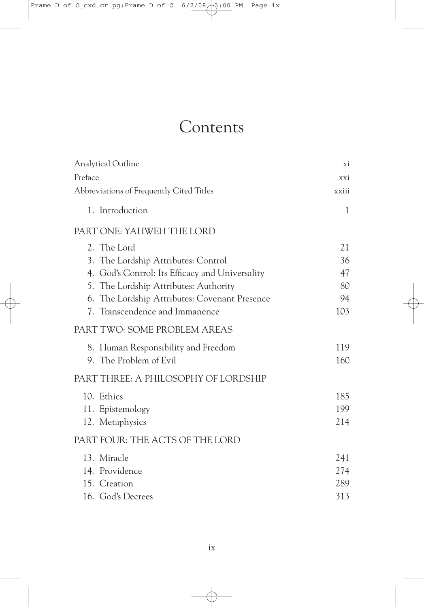Frame D of G\_cxd cr pg:Frame D of G 6/2/08 3:00 PM Page ix

# Contents

| <b>Analytical Outline</b>                          | xi       |
|----------------------------------------------------|----------|
| Preface                                            | XXI      |
| Abbreviations of Frequently Cited Titles           | xxiii    |
| 1. Introduction                                    | 1        |
| PART ONE: YAHWEH THE LORD                          |          |
| 2. The Lord<br>3. The Lordship Attributes: Control | 21<br>36 |
| 4. God's Control: Its Efficacy and Universality    | 47       |
| 5. The Lordship Attributes: Authority              | 80       |
| 6. The Lordship Attributes: Covenant Presence      | 94       |
| 7. Transcendence and Immanence                     | 103      |
| PART TWO: SOME PROBLEM AREAS                       |          |
| 8. Human Responsibility and Freedom                | 119      |
| 9. The Problem of Evil                             | 160      |
| PART THREE: A PHILOSOPHY OF LORDSHIP               |          |
| 10. Ethics                                         | 185      |
| 11. Epistemology                                   | 199      |
| 12. Metaphysics                                    | 214      |
| PART FOUR: THE ACTS OF THE LORD                    |          |
| 13. Miracle                                        | 241      |
| 14. Providence                                     | 274      |
| 15. Creation                                       | 289      |
| 16. God's Decrees                                  | 313      |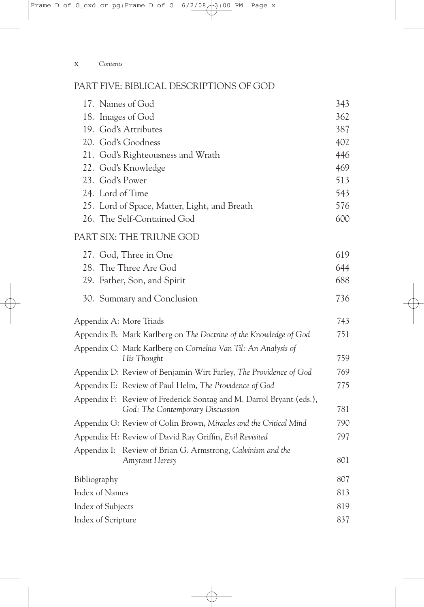| n n | v. | ≙מ≍י |
|-----|----|------|
|     |    |      |

| X | Contents |
|---|----------|
|   |          |

### PART FIVE: BIBLICAL DESCRIPTIONS OF GOD

|                    | 17. Names of God                                                                                        | 343 |
|--------------------|---------------------------------------------------------------------------------------------------------|-----|
|                    | 18. Images of God                                                                                       | 362 |
|                    | 19. God's Attributes                                                                                    | 387 |
|                    | 20. God's Goodness                                                                                      | 402 |
|                    | 21. God's Righteousness and Wrath                                                                       | 446 |
|                    | 22. God's Knowledge                                                                                     | 469 |
|                    | 23. God's Power                                                                                         | 513 |
|                    | 24. Lord of Time                                                                                        | 543 |
|                    | 25. Lord of Space, Matter, Light, and Breath                                                            | 576 |
|                    | 26. The Self-Contained God                                                                              | 600 |
|                    | PART SIX: THE TRIUNE GOD                                                                                |     |
|                    | 27. God, Three in One                                                                                   | 619 |
|                    | 28. The Three Are God                                                                                   | 644 |
|                    | 29. Father, Son, and Spirit                                                                             | 688 |
|                    | 30. Summary and Conclusion                                                                              | 736 |
|                    | Appendix A: More Triads                                                                                 | 743 |
|                    | Appendix B: Mark Karlberg on The Doctrine of the Knowledge of God                                       | 751 |
|                    | Appendix C: Mark Karlberg on Cornelius Van Til: An Analysis of<br>His Thought                           | 759 |
|                    | Appendix D: Review of Benjamin Wirt Farley, The Providence of God                                       | 769 |
|                    | Appendix E: Review of Paul Helm, The Providence of God                                                  | 775 |
|                    | Appendix F: Review of Frederick Sontag and M. Darrol Bryant (eds.),<br>God: The Contemporary Discussion | 781 |
|                    | Appendix G: Review of Colin Brown, Miracles and the Critical Mind                                       | 790 |
|                    | Appendix H: Review of David Ray Griffin, Evil Revisited                                                 | 797 |
|                    | Appendix I: Review of Brian G. Armstrong, Calvinism and the<br>Amyraut Heresy                           | 801 |
| Bibliography       |                                                                                                         | 807 |
| Index of Names     |                                                                                                         | 813 |
| Index of Subjects  |                                                                                                         | 819 |
| Index of Scripture |                                                                                                         | 837 |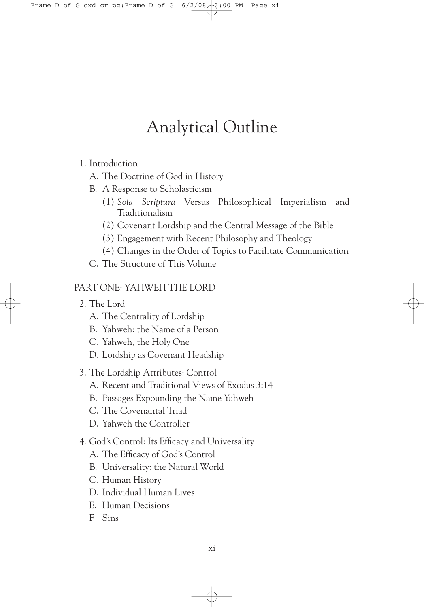## Analytical Outline

- 1. Introduction
	- A. The Doctrine of God in History
	- B. A Response to Scholasticism
		- (1) *Sola Scriptura* Versus Philosophical Imperialism and Traditionalism
		- (2) Covenant Lordship and the Central Message of the Bible
		- (3) Engagement with Recent Philosophy and Theology
		- (4) Changes in the Order of Topics to Facilitate Communication
	- C. The Structure of This Volume

#### PART ONE: YAHWEH THE LORD

- 2. The Lord
	- A. The Centrality of Lordship
	- B. Yahweh: the Name of a Person
	- C. Yahweh, the Holy One
	- D. Lordship as Covenant Headship
- 3. The Lordship Attributes: Control
	- A. Recent and Traditional Views of Exodus 3:14
	- B. Passages Expounding the Name Yahweh
	- C. The Covenantal Triad
	- D. Yahweh the Controller

#### 4. God's Control: Its Efficacy and Universality

- A. The Efficacy of God's Control
- B. Universality: the Natural World
- C. Human History
- D. Individual Human Lives
- E. Human Decisions
- F. Sins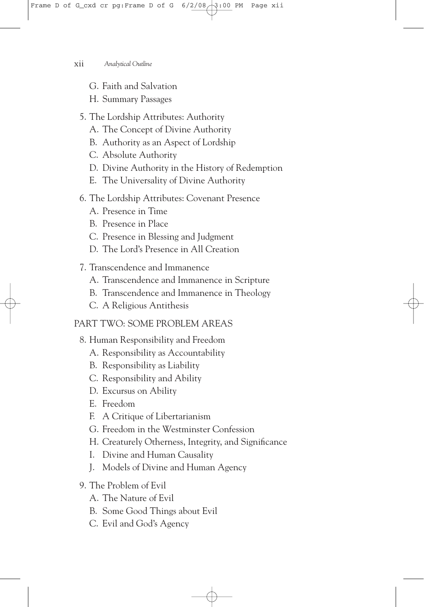xii *Analytical Outline*

- G. Faith and Salvation
- H. Summary Passages
- 5. The Lordship Attributes: Authority
	- A. The Concept of Divine Authority
	- B. Authority as an Aspect of Lordship
	- C. Absolute Authority
	- D. Divine Authority in the History of Redemption
	- E. The Universality of Divine Authority
- 6. The Lordship Attributes: Covenant Presence
	- A. Presence in Time
	- B. Presence in Place
	- C. Presence in Blessing and Judgment
	- D. The Lord's Presence in All Creation
- 7. Transcendence and Immanence
	- A. Transcendence and Immanence in Scripture
	- B. Transcendence and Immanence in Theology
	- C. A Religious Antithesis

#### PART TWO: SOME PROBLEM AREAS

- 8. Human Responsibility and Freedom
	- A. Responsibility as Accountability
	- B. Responsibility as Liability
	- C. Responsibility and Ability
	- D. Excursus on Ability
	- E. Freedom
	- F. A Critique of Libertarianism
	- G. Freedom in the Westminster Confession
	- H. Creaturely Otherness, Integrity, and Significance
	- I. Divine and Human Causality
	- J. Models of Divine and Human Agency
- 9. The Problem of Evil
	- A. The Nature of Evil
	- B. Some Good Things about Evil
	- C. Evil and God's Agency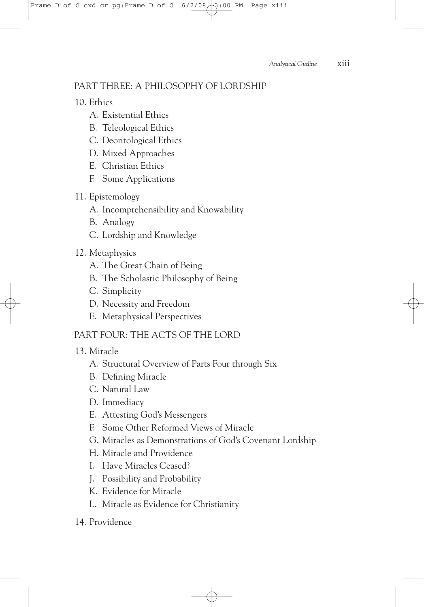*Analytical Outline* xiii

### PART THREE: A PHILOSOPHY OF LORDSHIP

- 10. Ethics
	- A. Existential Ethics
	- B. Teleological Ethics
	- C. Deontological Ethics
	- D. Mixed Approaches
	- E. Christian Ethics
	- F. Some Applications
- 11. Epistemology
	- A. Incomprehensibility and Knowability
	- B. Analogy
	- C. Lordship and Knowledge
- 12. Metaphysics
	- A. The Great Chain of Being
	- B. The Scholastic Philosophy of Being
	- C. Simplicity
	- D. Necessity and Freedom
	- E. Metaphysical Perspectives

### PART FOUR: THE ACTS OF THE LORD

- 13. Miracle
	- A. Structural Overview of Parts Four through Six
	- B. Defining Miracle
	- C. Natural Law
	- D. Immediacy
	- E. Attesting God's Messengers
	- F. Some Other Reformed Views of Miracle
	- G. Miracles as Demonstrations of God's Covenant Lordship
	- H. Miracle and Providence
	- I. Have Miracles Ceased?
	- J. Possibility and Probability
	- K. Evidence for Miracle
	- L. Miracle as Evidence for Christianity
- 14. Providence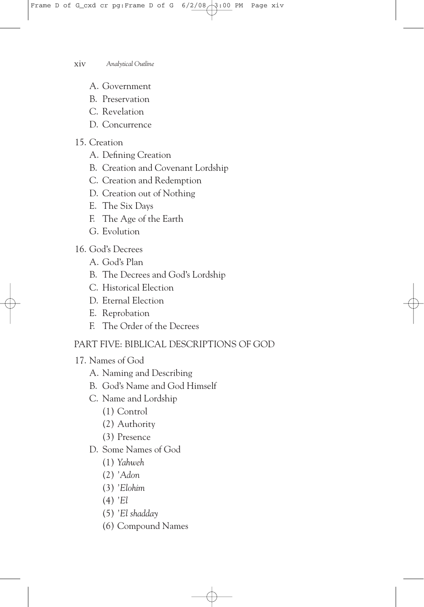xiv *Analytical Outline*

- A. Government
- B. Preservation
- C. Revelation
- D. Concurrence
- 15. Creation
	- A. Defining Creation
	- B. Creation and Covenant Lordship
	- C. Creation and Redemption
	- D. Creation out of Nothing
	- E. The Six Days
	- F. The Age of the Earth
	- G. Evolution
- 16. God's Decrees
	- A. God's Plan
	- B. The Decrees and God's Lordship
	- C. Historical Election
	- D. Eternal Election
	- E. Reprobation
	- F. The Order of the Decrees

#### PART FIVE: BIBLICAL DESCRIPTIONS OF GOD

- 17. Names of God
	- A. Naming and Describing
	- B. God's Name and God Himself
	- C. Name and Lordship
		- (1) Control
		- (2) Authority
		- (3) Presence
	- D. Some Names of God
		- (1) *Yahweh*
		- (2) *'Adon*
		- (3) *'Elohim*
		- (4) *'El*
		- (5) *'El shadday*
		- (6) Compound Names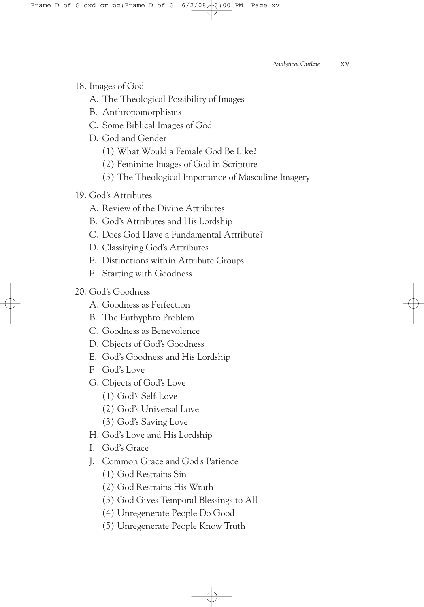- 18. Images of God
	- A. The Theological Possibility of Images
	- B. Anthropomorphisms
	- C. Some Biblical Images of God
	- D. God and Gender
		- (1) What Would a Female God Be Like?
		- (2) Feminine Images of God in Scripture
		- (3) The Theological Importance of Masculine Imagery
- 19. God's Attributes
	- A. Review of the Divine Attributes
	- B. God's Attributes and His Lordship
	- C. Does God Have a Fundamental Attribute?
	- D. Classifying God's Attributes
	- E. Distinctions within Attribute Groups
	- F. Starting with Goodness
- 20. God's Goodness
	- A. Goodness as Perfection
	- B. The Euthyphro Problem
	- C. Goodness as Benevolence
	- D. Objects of God's Goodness
	- E. God's Goodness and His Lordship
	- F. God's Love
	- G. Objects of God's Love
		- (1) God's Self-Love
		- (2) God's Universal Love
		- (3) God's Saving Love
	- H. God's Love and His Lordship
	- I. God's Grace
	- J. Common Grace and God's Patience
		- (1) God Restrains Sin
		- (2) God Restrains His Wrath
		- (3) God Gives Temporal Blessings to All
		- (4) Unregenerate People Do Good
		- (5) Unregenerate People Know Truth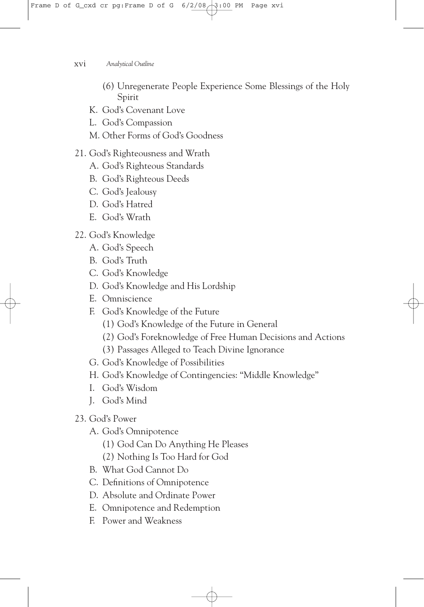- xvi *Analytical Outline*
	- (6) Unregenerate People Experience Some Blessings of the Holy Spirit
	- K. God's Covenant Love
	- L. God's Compassion
	- M. Other Forms of God's Goodness
- 21. God's Righteousness and Wrath
	- A. God's Righteous Standards
	- B. God's Righteous Deeds
	- C. God's Jealousy
	- D. God's Hatred
	- E. God's Wrath
- 22. God's Knowledge
	- A. God's Speech
	- B. God's Truth
	- C. God's Knowledge
	- D. God's Knowledge and His Lordship
	- E. Omniscience
	- F. God's Knowledge of the Future
		- (1) God's Knowledge of the Future in General
		- (2) God's Foreknowledge of Free Human Decisions and Actions
		- (3) Passages Alleged to Teach Divine Ignorance
	- G. God's Knowledge of Possibilities
	- H. God's Knowledge of Contingencies: "Middle Knowledge"
	- I. God's Wisdom
	- J. God's Mind
- 23. God's Power
	- A. God's Omnipotence
		- (1) God Can Do Anything He Pleases
		- (2) Nothing Is Too Hard for God
	- B. What God Cannot Do
	- C. Definitions of Omnipotence
	- D. Absolute and Ordinate Power
	- E. Omnipotence and Redemption
	- F. Power and Weakness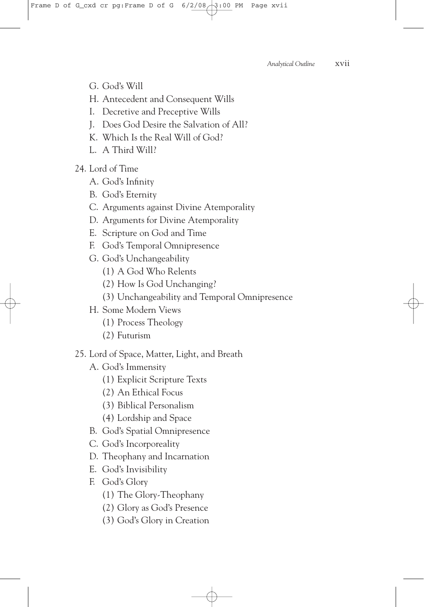*Analytical Outline* xvii

- G. God's Will
- H. Antecedent and Consequent Wills
- I. Decretive and Preceptive Wills
- J. Does God Desire the Salvation of All?
- K. Which Is the Real Will of God?
- L. A Third Will?
- 24. Lord of Time
	- A. God's Infinity
	- B. God's Eternity
	- C. Arguments against Divine Atemporality
	- D. Arguments for Divine Atemporality
	- E. Scripture on God and Time
	- F. God's Temporal Omnipresence
	- G. God's Unchangeability
		- (1) A God Who Relents
		- (2) How Is God Unchanging?
		- (3) Unchangeability and Temporal Omnipresence
	- H. Some Modern Views
		- (1) Process Theology
		- (2) Futurism
- 25. Lord of Space, Matter, Light, and Breath
	- A. God's Immensity
		- (1) Explicit Scripture Texts
		- (2) An Ethical Focus
		- (3) Biblical Personalism
		- (4) Lordship and Space
	- B. God's Spatial Omnipresence
	- C. God's Incorporeality
	- D. Theophany and Incarnation
	- E. God's Invisibility
	- F. God's Glory
		- (1) The Glory-Theophany
		- (2) Glory as God's Presence
		- (3) God's Glory in Creation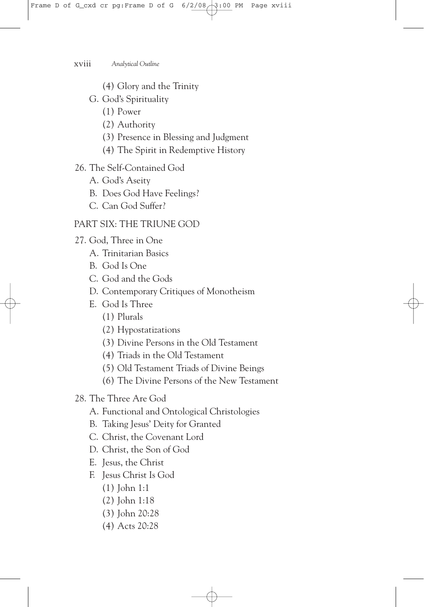xviii *Analytical Outline*

- (4) Glory and the Trinity
- G. God's Spirituality
	- (1) Power
	- (2) Authority
	- (3) Presence in Blessing and Judgment
	- (4) The Spirit in Redemptive History
- 26. The Self-Contained God
	- A. God's Aseity
	- B. Does God Have Feelings?
	- C. Can God Suffer?

#### PART SIX: THE TRIUNE GOD

- 27. God, Three in One
	- A. Trinitarian Basics
	- B. God Is One
	- C. God and the Gods
	- D. Contemporary Critiques of Monotheism
	- E. God Is Three
		- (1) Plurals
		- (2) Hypostatizations
		- (3) Divine Persons in the Old Testament
		- (4) Triads in the Old Testament
		- (5) Old Testament Triads of Divine Beings
		- (6) The Divine Persons of the New Testament
- 28. The Three Are God
	- A. Functional and Ontological Christologies
	- B. Taking Jesus' Deity for Granted
	- C. Christ, the Covenant Lord
	- D. Christ, the Son of God
	- E. Jesus, the Christ
	- F. Jesus Christ Is God
		- (1) John 1:1
		- (2) John 1:18
		- (3) John 20:28
		- (4) Acts 20:28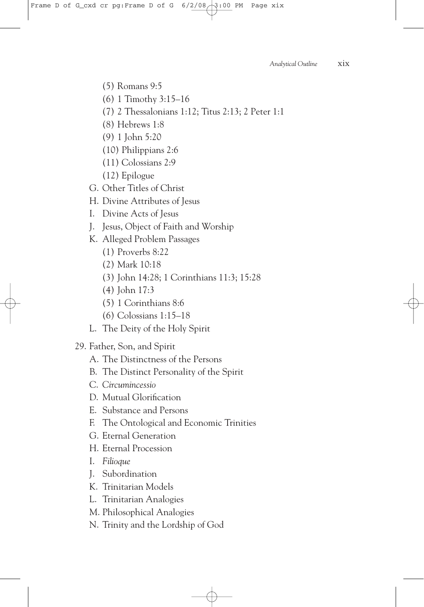*Analytical Outline* xix

- (5) Romans 9:5
- (6) 1 Timothy 3:15–16
- (7) 2 Thessalonians 1:12; Titus 2:13; 2 Peter 1:1
- (8) Hebrews 1:8
- (9) 1 John 5:20
- (10) Philippians 2:6
- (11) Colossians 2:9
- (12) Epilogue
- G. Other Titles of Christ
- H. Divine Attributes of Jesus
- I. Divine Acts of Jesus
- J. Jesus, Object of Faith and Worship
- K. Alleged Problem Passages
	- (1) Proverbs 8:22
	- (2) Mark 10:18
	- (3) John 14:28; 1 Corinthians 11:3; 15:28
	- (4) John 17:3
	- (5) 1 Corinthians 8:6
	- (6) Colossians 1:15–18
- L. The Deity of the Holy Spirit
- 29. Father, Son, and Spirit
	- A. The Distinctness of the Persons
	- B. The Distinct Personality of the Spirit
	- C. *Circumincessio*
	- D. Mutual Glorification
	- E. Substance and Persons
	- F. The Ontological and Economic Trinities
	- G. Eternal Generation
	- H. Eternal Procession
	- I. *Filioque*
	- J. Subordination
	- K. Trinitarian Models
	- L. Trinitarian Analogies
	- M. Philosophical Analogies
	- N. Trinity and the Lordship of God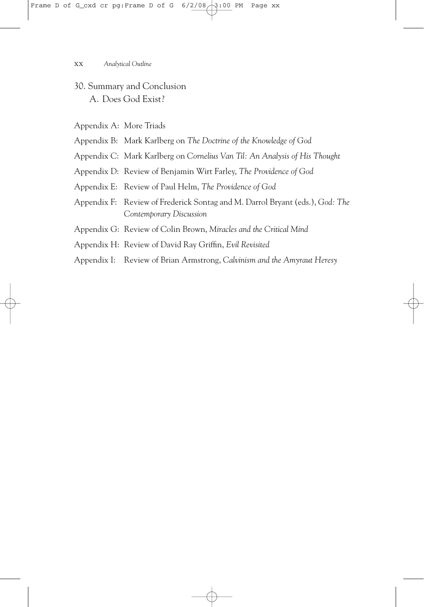|  | XX | <b>Analytical Outline</b> |
|--|----|---------------------------|
|--|----|---------------------------|

- 30. Summary and Conclusion A. Does God Exist?
- Appendix A: More Triads
- Appendix B: Mark Karlberg on *The Doctrine of the Knowledge of God*
- Appendix C: Mark Karlberg on *Cornelius Van Til: An Analysis of His Thought*
- Appendix D: Review of Benjamin Wirt Farley, *The Providence of God*
- Appendix E: Review of Paul Helm, *The Providence of God*
- Appendix F: Review of Frederick Sontag and M. Darrol Bryant (eds.), *God: The Contemporary Discussion*
- Appendix G: Review of Colin Brown, *Miracles and the Critical Mind*
- Appendix H: Review of David Ray Griffin, *Evil Revisited*
- Appendix I: Review of Brian Armstrong, *Calvinism and the Amyraut Heresy*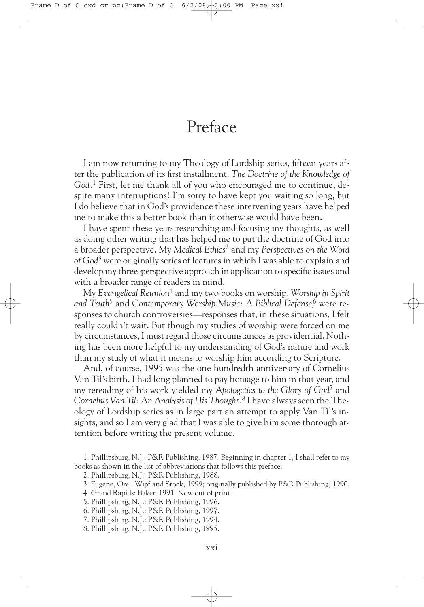## Preface

I am now returning to my Theology of Lordship series, fifteen years after the publication of its first installment, *The Doctrine of the Knowledge of God.*<sup>1</sup> First, let me thank all of you who encouraged me to continue, despite many interruptions! I'm sorry to have kept you waiting so long, but I do believe that in God's providence these intervening years have helped me to make this a better book than it otherwise would have been.

I have spent these years researching and focusing my thoughts, as well as doing other writing that has helped me to put the doctrine of God into a broader perspective. My *Medical Ethics*<sup>2</sup> and my *Perspectives on the Word of God*<sup>3</sup> were originally series of lectures in which I was able to explain and develop my three-perspective approach in application to specific issues and with a broader range of readers in mind.

My *Evangelical Reunion*<sup>4</sup> and my two books on worship, *Worship in Spirit and Truth*<sup>5</sup> and *Contemporary Worship Music: A Biblical Defense,*<sup>6</sup> were responses to church controversies—responses that, in these situations, I felt really couldn't wait. But though my studies of worship were forced on me by circumstances, I must regard those circumstances as providential. Nothing has been more helpful to my understanding of God's nature and work than my study of what it means to worship him according to Scripture.

And, of course, 1995 was the one hundredth anniversary of Cornelius Van Til's birth. I had long planned to pay homage to him in that year, and my rereading of his work yielded my *Apologetics to the Glory of God*<sup>7</sup> and *Cornelius Van Til: An Analysis of His Thought.*<sup>8</sup> I have always seen the Theology of Lordship series as in large part an attempt to apply Van Til's insights, and so I am very glad that I was able to give him some thorough attention before writing the present volume.

1. Phillipsburg, N.J.: P&R Publishing, 1987. Beginning in chapter 1, I shall refer to my books as shown in the list of abbreviations that follows this preface.

2. Phillipsburg, N.J.: P&R Publishing, 1988.

3. Eugene, Ore.: Wipf and Stock, 1999; originally published by P&R Publishing, 1990.

4. Grand Rapids: Baker, 1991. Now out of print.

5. Phillipsburg, N.J.: P&R Publishing, 1996.

6. Phillipsburg, N.J.: P&R Publishing, 1997.

7. Phillipsburg, N.J.: P&R Publishing, 1994.

8. Phillipsburg, N.J.: P&R Publishing, 1995.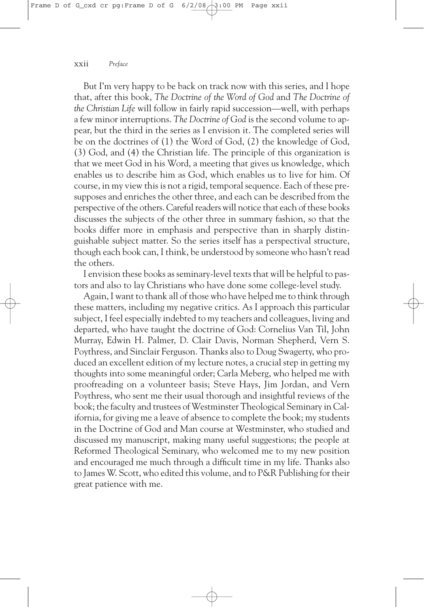xxii *Preface*

But I'm very happy to be back on track now with this series, and I hope that, after this book, *The Doctrine of the Word of God* and *The Doctrine of the Christian Life* will follow in fairly rapid succession—well, with perhaps a few minor interruptions. *The Doctrine of God* is the second volume to appear, but the third in the series as I envision it. The completed series will be on the doctrines of (1) the Word of God, (2) the knowledge of God, (3) God, and (4) the Christian life. The principle of this organization is that we meet God in his Word, a meeting that gives us knowledge, which enables us to describe him as God, which enables us to live for him. Of course, in my view this is not a rigid, temporal sequence. Each of these presupposes and enriches the other three, and each can be described from the perspective of the others. Careful readers will notice that each of these books discusses the subjects of the other three in summary fashion, so that the books differ more in emphasis and perspective than in sharply distinguishable subject matter. So the series itself has a perspectival structure, though each book can, I think, be understood by someone who hasn't read the others.

I envision these books as seminary-level texts that will be helpful to pastors and also to lay Christians who have done some college-level study.

Again, I want to thank all of those who have helped me to think through these matters, including my negative critics. As I approach this particular subject, I feel especially indebted to my teachers and colleagues, living and departed, who have taught the doctrine of God: Cornelius Van Til, John Murray, Edwin H. Palmer, D. Clair Davis, Norman Shepherd, Vern S. Poythress, and Sinclair Ferguson. Thanks also to Doug Swagerty, who produced an excellent edition of my lecture notes, a crucial step in getting my thoughts into some meaningful order; Carla Meberg, who helped me with proofreading on a volunteer basis; Steve Hays, Jim Jordan, and Vern Poythress, who sent me their usual thorough and insightful reviews of the book; the faculty and trustees of Westminster Theological Seminary in California, for giving me a leave of absence to complete the book; my students in the Doctrine of God and Man course at Westminster, who studied and discussed my manuscript, making many useful suggestions; the people at Reformed Theological Seminary, who welcomed me to my new position and encouraged me much through a difficult time in my life. Thanks also to James W. Scott, who edited this volume, and to P&R Publishing for their great patience with me.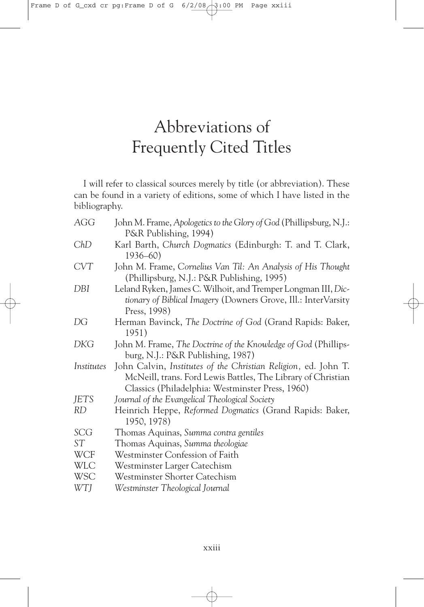# Abbreviations of Frequently Cited Titles

I will refer to classical sources merely by title (or abbreviation). These can be found in a variety of editions, some of which I have listed in the bibliography.

| AGG               | John M. Frame, Apologetics to the Glory of God (Phillipsburg, N.J.:<br>P&R Publishing, 1994)                                                                                       |
|-------------------|------------------------------------------------------------------------------------------------------------------------------------------------------------------------------------|
| ChD               | Karl Barth, Church Dogmatics (Edinburgh: T. and T. Clark,<br>$1936 - 60$                                                                                                           |
| <b>CVT</b>        | John M. Frame, Cornelius Van Til: An Analysis of His Thought<br>(Phillipsburg, N.J.: P&R Publishing, 1995)                                                                         |
| DBI               | Leland Ryken, James C. Wilhoit, and Tremper Longman III, Dic-<br>tionary of Biblical Imagery (Downers Grove, Ill.: InterVarsity<br>Press, 1998)                                    |
| DG                | Herman Bavinck, The Doctrine of God (Grand Rapids: Baker,<br>1951)                                                                                                                 |
| DKG               | John M. Frame, The Doctrine of the Knowledge of God (Phillips-<br>burg, N.J.: P&R Publishing, 1987)                                                                                |
| <i>Institutes</i> | John Calvin, Institutes of the Christian Religion, ed. John T.<br>McNeill, trans. Ford Lewis Battles, The Library of Christian<br>Classics (Philadelphia: Westminster Press, 1960) |
| JETS              | Journal of the Evangelical Theological Society                                                                                                                                     |
| RD                | Heinrich Heppe, Reformed Dogmatics (Grand Rapids: Baker,<br>1950, 1978)                                                                                                            |
| SCG               | Thomas Aquinas, Summa contra gentiles                                                                                                                                              |
| <b>ST</b>         | Thomas Aquinas, Summa theologiae                                                                                                                                                   |
| <b>WCF</b>        | Westminster Confession of Faith                                                                                                                                                    |
| <b>WLC</b>        | Westminster Larger Catechism                                                                                                                                                       |
| <b>WSC</b>        | Westminster Shorter Catechism                                                                                                                                                      |
| WTJ               | Westminster Theological Journal                                                                                                                                                    |

xxiii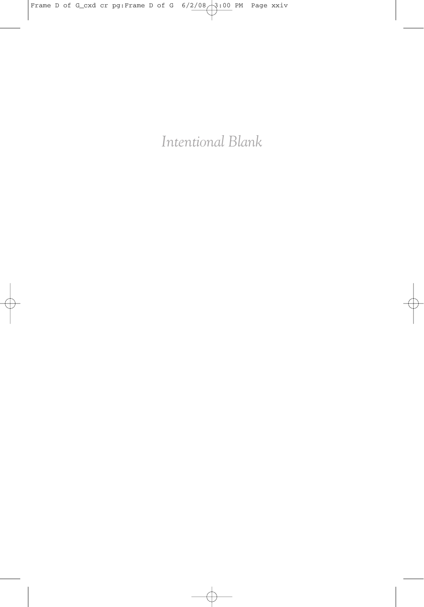*Intentional Blank*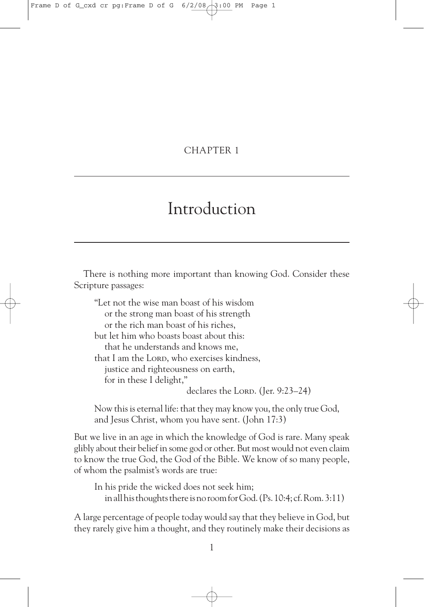### CHAPTER 1

## Introduction

There is nothing more important than knowing God. Consider these Scripture passages:

"Let not the wise man boast of his wisdom or the strong man boast of his strength or the rich man boast of his riches, but let him who boasts boast about this: that he understands and knows me, that I am the LORD, who exercises kindness, justice and righteousness on earth, for in these I delight,"

declares the Lorp. (Jer. 9:23–24)

Now this is eternal life: that they may know you, the only true God, and Jesus Christ, whom you have sent. (John 17:3)

But we live in an age in which the knowledge of God is rare. Many speak glibly about their belief in some god or other. But most would not even claim to know the true God, the God of the Bible. We know of so many people, of whom the psalmist's words are true:

In his pride the wicked does not seek him; in all his thoughts there is no room for God. (Ps. 10:4; cf. Rom.  $3:11$ )

A large percentage of people today would say that they believe in God, but they rarely give him a thought, and they routinely make their decisions as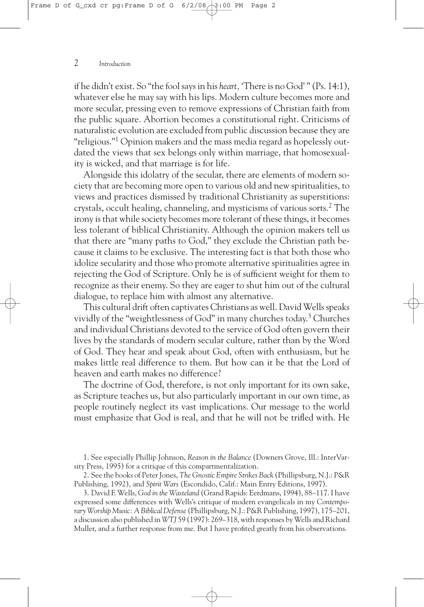#### 2 *Introduction*

if he didn't exist. So "the fool says in his *heart,* 'There is no God' " (Ps. 14:1), whatever else he may say with his lips. Modern culture becomes more and more secular, pressing even to remove expressions of Christian faith from the public square. Abortion becomes a constitutional right. Criticisms of naturalistic evolution are excluded from public discussion because they are "religious."1 Opinion makers and the mass media regard as hopelessly outdated the views that sex belongs only within marriage, that homosexuality is wicked, and that marriage is for life.

Alongside this idolatry of the secular, there are elements of modern society that are becoming more open to various old and new spiritualities, to views and practices dismissed by traditional Christianity as superstitions: crystals, occult healing, channeling, and mysticisms of various sorts.2 The irony is that while society becomes more tolerant of these things, it becomes less tolerant of biblical Christianity. Although the opinion makers tell us that there are "many paths to God," they exclude the Christian path because it claims to be exclusive. The interesting fact is that both those who idolize secularity and those who promote alternative spiritualities agree in rejecting the God of Scripture. Only he is of sufficient weight for them to recognize as their enemy. So they are eager to shut him out of the cultural dialogue, to replace him with almost any alternative.

This cultural drift often captivates Christians as well. David Wells speaks vividly of the "weightlessness of God" in many churches today.3 Churches and individual Christians devoted to the service of God often govern their lives by the standards of modern secular culture, rather than by the Word of God. They hear and speak about God, often with enthusiasm, but he makes little real difference to them. But how can it be that the Lord of heaven and earth makes no difference?

The doctrine of God, therefore, is not only important for its own sake, as Scripture teaches us, but also particularly important in our own time, as people routinely neglect its vast implications. Our message to the world must emphasize that God is real, and that he will not be trifled with. He

3. David F. Wells, *God in the Wasteland* (Grand Rapids: Eerdmans, 1994), 88–117. I have expressed some differences with Wells's critique of modern evangelicals in my *Contemporary Worship Music: A Biblical Defense*(Phillipsburg, N.J.: P&R Publishing, 1997), 175–201, a discussion also published in *WTJ* 59 (1997): 269–318, with responses by Wells and Richard Muller, and a further response from me. But I have profited greatly from his observations.

<sup>1.</sup> See especially Phillip Johnson, *Reason in the Balance* (Downers Grove, Ill.: InterVarsity Press, 1995) for a critique of this compartmentalization.

<sup>2.</sup> See the books of Peter Jones, *The Gnostic Empire Strikes Back* (Phillipsburg, N.J.: P&R Publishing, 1992), and *Spirit Wars* (Escondido, Calif.: Main Entry Editions, 1997).